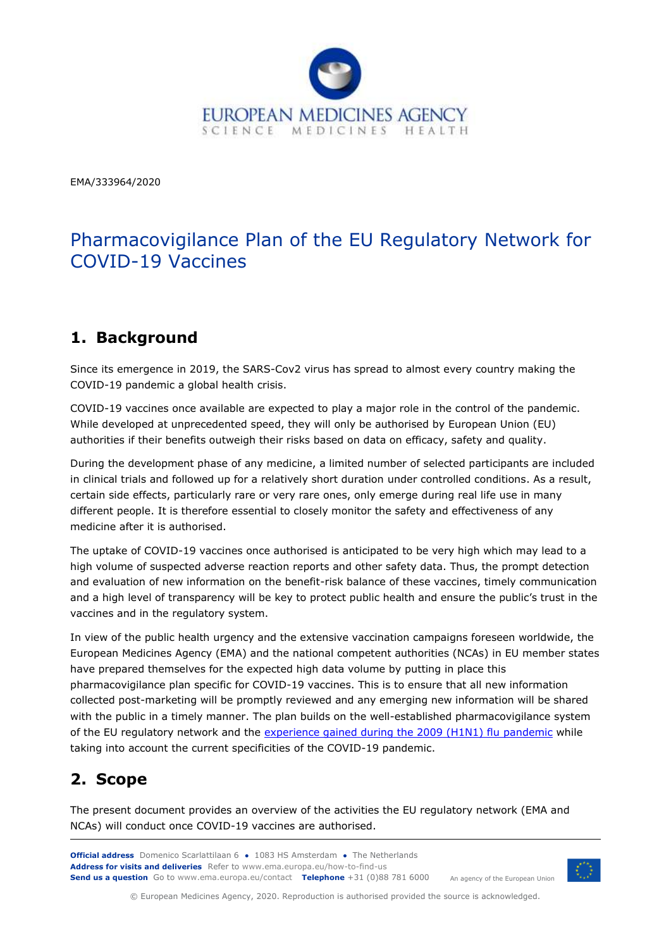

EMA/333964/2020

# Pharmacovigilance Plan of the EU Regulatory Network for COVID-19 Vaccines

### **1. Background**

Since its emergence in 2019, the SARS-Cov2 virus has spread to almost every country making the COVID-19 pandemic a global health crisis.

COVID-19 vaccines once available are expected to play a major role in the control of the pandemic. While developed at unprecedented speed, they will only be authorised by European Union (EU) authorities if their benefits outweigh their risks based on data on efficacy, safety and quality.

During the development phase of any medicine, a limited number of selected participants are included in clinical trials and followed up for a relatively short duration under controlled conditions. As a result, certain side effects, particularly rare or very rare ones, only emerge during real life use in many different people. It is therefore essential to closely monitor the safety and effectiveness of any medicine after it is authorised.

The uptake of COVID-19 vaccines once authorised is anticipated to be very high which may lead to a high volume of suspected adverse reaction reports and other safety data. Thus, the prompt detection and evaluation of new information on the benefit-risk balance of these vaccines, timely communication and a high level of transparency will be key to protect public health and ensure the public's trust in the vaccines and in the regulatory system.

In view of the public health urgency and the extensive vaccination campaigns foreseen worldwide, the European Medicines Agency (EMA) and the national competent authorities (NCAs) in EU member states have prepared themselves for the expected high data volume by putting in place this pharmacovigilance plan specific for COVID-19 vaccines. This is to ensure that all new information collected post-marketing will be promptly reviewed and any emerging new information will be shared with the public in a timely manner. The plan builds on the well-established pharmacovigilance system of the EU regulatory network and the [experience gained during the 2009 \(H1N1\) flu pandemic](https://www.ema.europa.eu/en/documents/report/pandemic-report-lessons-learned-outcome-european-medicines-agencys-activities-during-2009-h1n1-flu_en.pdf) while taking into account the current specificities of the COVID-19 pandemic.

### **2. Scope**

The present document provides an overview of the activities the EU regulatory network (EMA and NCAs) will conduct once COVID-19 vaccines are authorised.

**Official address** Domenico Scarlattilaan 6 **●** 1083 HS Amsterdam **●** The Netherlands An agency of the European Union **Address for visits and deliveries** Refer to www.ema.europa.eu/how-to-find-us **Send us a question** Go to www.ema.europa.eu/contact **Telephone** +31 (0)88 781 6000



© European Medicines Agency, 2020. Reproduction is authorised provided the source is acknowledged.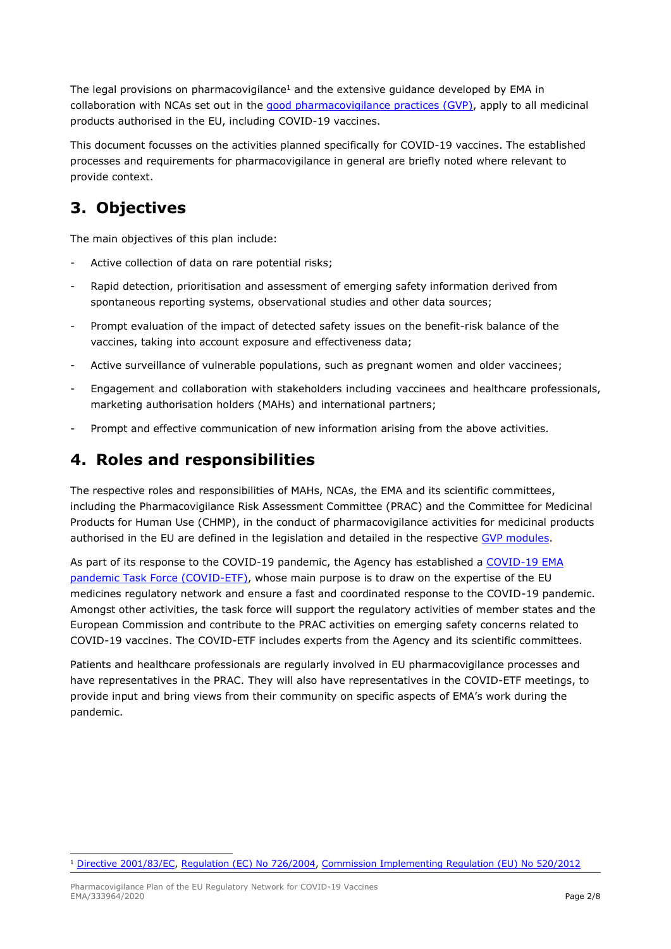The legal provisions on pharmacovigilance<sup>1</sup> and the extensive guidance developed by EMA in collaboration with NCAs set out in the [good pharmacovigilance practices \(GVP\),](https://www.ema.europa.eu/en/human-regulatory/post-authorisation/pharmacovigilance/good-pharmacovigilance-practices) apply to all medicinal products authorised in the EU, including COVID-19 vaccines.

This document focusses on the activities planned specifically for COVID-19 vaccines. The established processes and requirements for pharmacovigilance in general are briefly noted where relevant to provide context.

## **3. Objectives**

The main objectives of this plan include:

- Active collection of data on rare potential risks:
- Rapid detection, prioritisation and assessment of emerging safety information derived from spontaneous reporting systems, observational studies and other data sources;
- Prompt evaluation of the impact of detected safety issues on the benefit-risk balance of the vaccines, taking into account exposure and effectiveness data;
- Active surveillance of vulnerable populations, such as pregnant women and older vaccinees;
- Engagement and collaboration with stakeholders including vaccinees and healthcare professionals, marketing authorisation holders (MAHs) and international partners;
- Prompt and effective communication of new information arising from the above activities.

## **4. Roles and responsibilities**

The respective roles and responsibilities of MAHs, NCAs, the EMA and its scientific committees, including the Pharmacovigilance Risk Assessment Committee (PRAC) and the Committee for Medicinal Products for Human Use (CHMP), in the conduct of pharmacovigilance activities for medicinal products authorised in the EU are defined in the legislation and detailed in the respective [GVP modules.](https://www.ema.europa.eu/en/human-regulatory/post-authorisation/pharmacovigilance/good-pharmacovigilance-practices)

As part of its response to the COVID-19 pandemic, the Agency has established a [COVID-19 EMA](https://www.ema.europa.eu/en/news/ema-establishes-task-force-take-quick-coordinated-regulatory-action-related-covid-19-medicines)  [pandemic Task Force \(COVID-ETF\),](https://www.ema.europa.eu/en/news/ema-establishes-task-force-take-quick-coordinated-regulatory-action-related-covid-19-medicines) whose main purpose is to draw on the expertise of the EU medicines regulatory network and ensure a fast and coordinated response to the COVID-19 pandemic. Amongst other activities, the task force will support the regulatory activities of member states and the European Commission and contribute to the PRAC activities on emerging safety concerns related to COVID-19 vaccines. The COVID-ETF includes experts from the Agency and its scientific committees.

Patients and healthcare professionals are regularly involved in EU pharmacovigilance processes and have representatives in the PRAC. They will also have representatives in the COVID-ETF meetings, to provide input and bring views from their community on specific aspects of EMA's work during the pandemic.

<sup>1</sup> [Directive 2001/83/EC,](http://eur-lex.europa.eu/LexUriServ/LexUriServ.do?uri=CONSLEG:2001L0083:20110721:EN:PDF) [Regulation \(EC\) No 726/2004,](http://eur-lex.europa.eu/LexUriServ/LexUriServ.do?uri=CONSLEG:2004R0726:20120702:EN:PDF) [Commission Implementing Regulation \(EU\) No 520/2012](http://eur-lex.europa.eu/LexUriServ/LexUriServ.do?uri=OJ:L:2012:159:0005:0025:EN:PDF)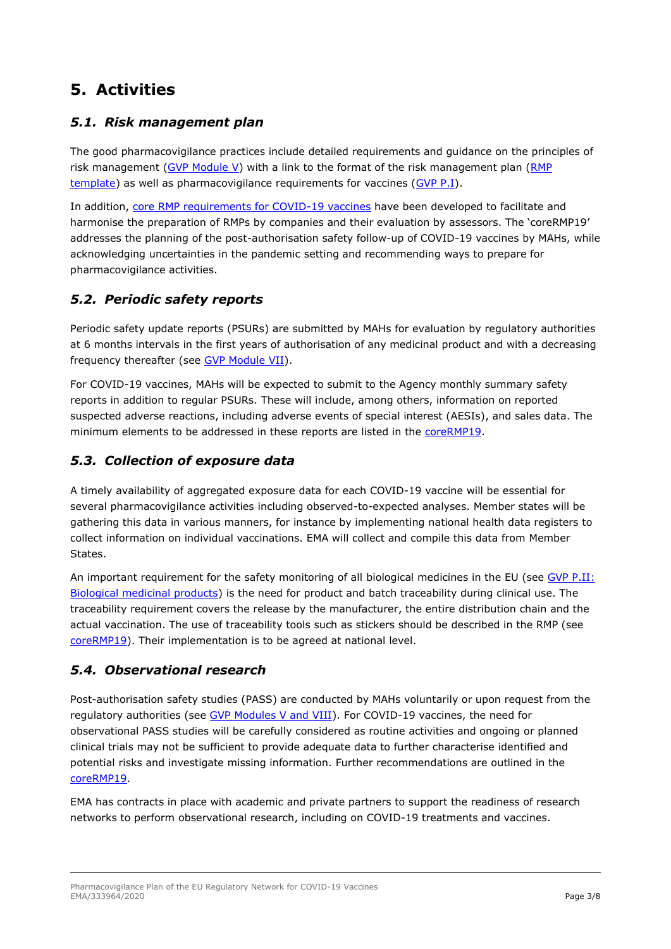## **5. Activities**

#### *5.1. Risk management plan*

The good pharmacovigilance practices include detailed requirements and guidance on the principles of risk management [\(GVP Module V\)](https://www.ema.europa.eu/en/documents/scientific-guideline/guideline-good-pharmacovigilance-practices-module-v-risk-management-systems-rev-2_en.pdf) with a link to the format of the risk management plan (RMP [template\)](https://www.ema.europa.eu/documents/regulatory-procedural-guideline/guidance-format-risk-management-plan-rmp-eu-integrated-format-rev-201_en.doc) as well as pharmacovigilance requirements for vaccines [\(GVP P.I\)](https://www.ema.europa.eu/en/documents/scientific-guideline/guideline-good-pharmacovigilance-practices-gvp-product-population-specific-considerations-i-vaccines_en.pdf).

In addition, [core RMP requirements for COVID-19 vaccines](https://www.ema.europa.eu/en/documents/other/consideration-core-requirements-rmps-covid-19-vaccines_en.pdf) have been developed to facilitate and harmonise the preparation of RMPs by companies and their evaluation by assessors. The 'coreRMP19' addresses the planning of the post-authorisation safety follow-up of COVID-19 vaccines by MAHs, while acknowledging uncertainties in the pandemic setting and recommending ways to prepare for pharmacovigilance activities.

#### *5.2. Periodic safety reports*

Periodic safety update reports (PSURs) are submitted by MAHs for evaluation by regulatory authorities at 6 months intervals in the first years of authorisation of any medicinal product and with a decreasing frequency thereafter (see [GVP Module VII\)](https://www.ema.europa.eu/en/documents/scientific-guideline/guideline-good-pharmacovigilance-practices-gvp-module-vii-periodic-safety-update-report_en.pdf).

For COVID-19 vaccines, MAHs will be expected to submit to the Agency monthly summary safety reports in addition to regular PSURs. These will include, among others, information on reported suspected adverse reactions, including adverse events of special interest (AESIs), and sales data. The minimum elements to be addressed in these reports are listed in the [coreRMP19.](https://www.ema.europa.eu/en/documents/other/consideration-core-requirements-rmps-covid-19-vaccines_en.pdf)

#### *5.3. Collection of exposure data*

A timely availability of aggregated exposure data for each COVID-19 vaccine will be essential for several pharmacovigilance activities including observed-to-expected analyses. Member states will be gathering this data in various manners, for instance by implementing national health data registers to collect information on individual vaccinations. EMA will collect and compile this data from Member States.

An important requirement for the safety monitoring of all biological medicines in the EU (see [GVP P.II:](https://www.ema.europa.eu/en/documents/scientific-guideline/guideline-good-pharmacovigilance-practices-gvp-product-population-specific-considerations-ii_en-0.pdf)  [Biological medicinal products\)](https://www.ema.europa.eu/en/documents/scientific-guideline/guideline-good-pharmacovigilance-practices-gvp-product-population-specific-considerations-ii_en-0.pdf) is the need for product and batch traceability during clinical use. The traceability requirement covers the release by the manufacturer, the entire distribution chain and the actual vaccination. The use of traceability tools such as stickers should be described in the RMP (see [coreRMP19\)](https://www.ema.europa.eu/en/documents/other/consideration-core-requirements-rmps-covid-19-vaccines_en.pdf). Their implementation is to be agreed at national level.

#### *5.4. Observational research*

Post-authorisation safety studies (PASS) are conducted by MAHs voluntarily or upon request from the regulatory authorities (see [GVP Modules V and VIII\)](https://www.ema.europa.eu/en/human-regulatory/post-authorisation/pharmacovigilance/good-pharmacovigilance-practices). For COVID-19 vaccines, the need for observational PASS studies will be carefully considered as routine activities and ongoing or planned clinical trials may not be sufficient to provide adequate data to further characterise identified and potential risks and investigate missing information. Further recommendations are outlined in the [coreRMP19.](https://www.ema.europa.eu/en/documents/other/consideration-core-requirements-rmps-covid-19-vaccines_en.pdf)

EMA has contracts in place with academic and private partners to support the readiness of research networks to perform observational research, including on COVID-19 treatments and vaccines.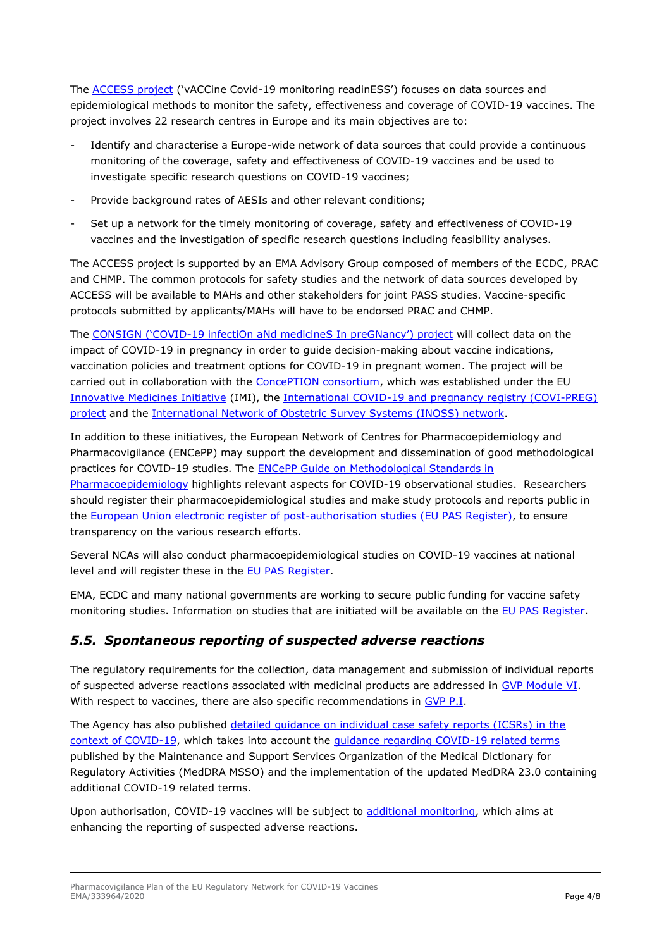The [ACCESS project](https://www.ema.europa.eu/en/news/ema-commissions-independent-research-prepare-real-world-monitoring-covid-19-vaccines) ('vACCine Covid-19 monitoring readinESS') focuses on data sources and epidemiological methods to monitor the safety, effectiveness and coverage of COVID-19 vaccines. The project involves 22 research centres in Europe and its main objectives are to:

- Identify and characterise a Europe-wide network of data sources that could provide a continuous monitoring of the coverage, safety and effectiveness of COVID-19 vaccines and be used to investigate specific research questions on COVID-19 vaccines;
- Provide background rates of AESIs and other relevant conditions;
- Set up a network for the timely monitoring of coverage, safety and effectiveness of COVID-19 vaccines and the investigation of specific research questions including feasibility analyses.

The ACCESS project is supported by an EMA Advisory Group composed of members of the ECDC, PRAC and CHMP. The common protocols for safety studies and the network of data sources developed by ACCESS will be available to MAHs and other stakeholders for joint PASS studies. Vaccine-specific protocols submitted by applicants/MAHs will have to be endorsed PRAC and CHMP.

The CONSIGN ('COVID-[19 infectiOn aNd medicineS In preGNancy'\) project](https://www.mn.uio.no/farmasi/english/research/projects/consign/) will collect data on the impact of COVID-19 in pregnancy in order to guide decision-making about vaccine indications, vaccination policies and treatment options for COVID-19 in pregnant women. The project will be carried out in collaboration with the [ConcePTION consortium,](https://www.imi-conception.eu/) which was established under the EU [Innovative Medicines Initiative](https://www.imi.europa.eu/about-imi) (IMI), the [International COVID-19 and pregnancy registry \(COVI-PREG\)](https://www.thelancet.com/pdfs/journals/lancet/PIIS0140-6736(20)30981-8.pdf)  [project](https://www.thelancet.com/pdfs/journals/lancet/PIIS0140-6736(20)30981-8.pdf) and the [International Network of Obstetric Survey Systems \(INOSS\) network.](https://www.npeu.ox.ac.uk/inoss)

In addition to these initiatives, the European Network of Centres for Pharmacoepidemiology and Pharmacovigilance (ENCePP) may support the development and dissemination of good methodological practices for COVID-19 studies. The [ENCePP Guide on Methodological Standards in](http://www.encepp.eu/standards_and_guidances/methodologicalGuide.shtml)  [Pharmacoepidemiology](http://www.encepp.eu/standards_and_guidances/methodologicalGuide.shtml) highlights relevant aspects for COVID-19 observational studies. Researchers should register their pharmacoepidemiological studies and make study protocols and reports public in the European Union electronic [register of post-authorisation studies \(EU PAS Register\),](http://www.encepp.eu/encepp/studiesDatabase.jsp) to ensure transparency on the various research efforts.

Several NCAs will also conduct pharmacoepidemiological studies on COVID-19 vaccines at national level and will register these in the EU PAS Register.

EMA, ECDC and many national governments are working to secure public funding for vaccine safety monitoring studies. Information on studies that are initiated will be available on the EU PAS Register.

#### *5.5. Spontaneous reporting of suspected adverse reactions*

The regulatory requirements for the collection, data management and submission of individual reports of suspected adverse reactions associated with medicinal products are addressed in [GVP Module VI.](https://www.ema.europa.eu/en/documents/regulatory-procedural-guideline/guideline-good-pharmacovigilance-practices-gvp-module-vi-collection-management-submission-reports_en.pdf) With respect to vaccines, there are also specific recommendations in [GVP P.I.](http://www.ema.europa.eu/docs/en_GB/document_library/Scientific_guideline/2013/12/WC500157839.pdf)

The Agency has also published [detailed guidance on individual case safety reports \(ICSRs\) in the](https://www.ema.europa.eu/en/documents/regulatory-procedural-guideline/detailed-guidance-icsrs-context-covid-19-validity-coding-icsrs_en.pdf)  [context of COVID-19,](https://www.ema.europa.eu/en/documents/regulatory-procedural-guideline/detailed-guidance-icsrs-context-covid-19-validity-coding-icsrs_en.pdf) which takes into account the [guidance regarding COVID-19 related terms](https://www.meddra.org/COVID-19-terms-and-MedDRA) published by the Maintenance and Support Services Organization of the Medical Dictionary for Regulatory Activities (MedDRA MSSO) and the implementation of the updated MedDRA 23.0 containing additional COVID-19 related terms.

Upon authorisation, COVID-19 vaccines will be subject to [additional monitoring,](https://www.ema.europa.eu/en/human-regulatory/post-authorisation/pharmacovigilance/medicines-under-additional-monitoring) which aims at enhancing the reporting of suspected adverse reactions.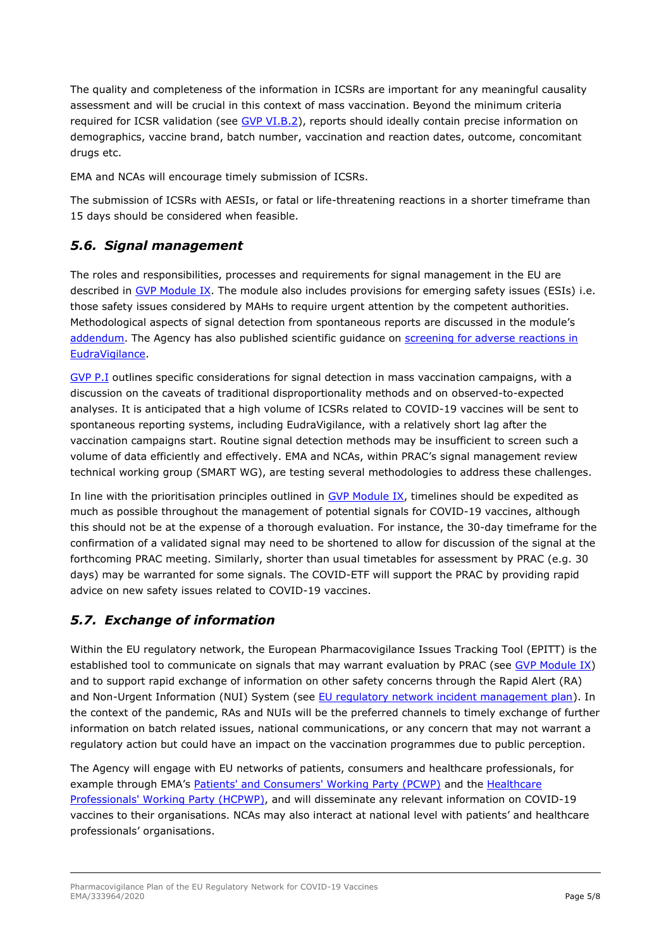The quality and completeness of the information in ICSRs are important for any meaningful causality assessment and will be crucial in this context of mass vaccination. Beyond the minimum criteria required for ICSR validation (see [GVP VI.B.2\)](https://www.ema.europa.eu/en/documents/regulatory-procedural-guideline/guideline-good-pharmacovigilance-practices-gvp-module-vi-collection-management-submission-reports_en.pdf), reports should ideally contain precise information on demographics, vaccine brand, batch number, vaccination and reaction dates, outcome, concomitant drugs etc.

EMA and NCAs will encourage timely submission of ICSRs.

The submission of ICSRs with AESIs, or fatal or life-threatening reactions in a shorter timeframe than 15 days should be considered when feasible.

#### *5.6. Signal management*

The roles and responsibilities, processes and requirements for signal management in the EU are described in [GVP Module IX.](http://www.ema.europa.eu/docs/en_GB/document_library/Scientific_guideline/2017/10/WC500236408.pdf) The module also includes provisions for emerging safety issues (ESIs) i.e. those safety issues considered by MAHs to require urgent attention by the competent authorities. Methodological aspects of signal detection from spontaneous reports are discussed in the module's [addendum.](https://www.ema.europa.eu/en/documents/scientific-guideline/guideline-good-pharmacovigilance-practices-gvp-module-ix-addendum-i-methodological-aspects-signal_en.pdf) The Agency has also published scientific guidance on screening for adverse reactions in [EudraVigilance.](https://www.ema.europa.eu/en/documents/other/screening-adverse-reactions-eudravigilance_en.pdf)

[GVP P.I](http://www.ema.europa.eu/docs/en_GB/document_library/Scientific_guideline/2013/12/WC500157839.pdf) outlines specific considerations for signal detection in mass vaccination campaigns, with a discussion on the caveats of traditional disproportionality methods and on observed-to-expected analyses. It is anticipated that a high volume of ICSRs related to COVID-19 vaccines will be sent to spontaneous reporting systems, including EudraVigilance, with a relatively short lag after the vaccination campaigns start. Routine signal detection methods may be insufficient to screen such a volume of data efficiently and effectively. EMA and NCAs, within PRAC's signal management review technical working group (SMART WG), are testing several methodologies to address these challenges.

In line with the prioritisation principles outlined in  $GVP$  Module IX, timelines should be expedited as much as possible throughout the management of potential signals for COVID-19 vaccines, although this should not be at the expense of a thorough evaluation. For instance, the 30-day timeframe for the confirmation of a validated signal may need to be shortened to allow for discussion of the signal at the forthcoming PRAC meeting. Similarly, shorter than usual timetables for assessment by PRAC (e.g. 30 days) may be warranted for some signals. The COVID-ETF will support the PRAC by providing rapid advice on new safety issues related to COVID-19 vaccines.

#### *5.7. Exchange of information*

Within the EU regulatory network, the European Pharmacovigilance Issues Tracking Tool (EPITT) is the established tool to communicate on signals that may warrant evaluation by PRAC (see [GVP Module IX\)](http://www.ema.europa.eu/docs/en_GB/document_library/Scientific_guideline/2017/10/WC500236408.pdf) and to support rapid exchange of information on other safety concerns through the Rapid Alert (RA) and Non-Urgent Information (NUI) System (see [EU regulatory network incident management plan\)](https://www.ema.europa.eu/en/documents/other/european-union-regulatory-network-incident-management-plan-medicines-human-use_en.pdf). In the context of the pandemic, RAs and NUIs will be the preferred channels to timely exchange of further information on batch related issues, national communications, or any concern that may not warrant a regulatory action but could have an impact on the vaccination programmes due to public perception.

The Agency will engage with EU networks of patients, consumers and healthcare professionals, for example through EMA's [Patients' and Consumers' Working Party \(PCWP\)](https://www.ema.europa.eu/en/committees/working-parties-other-groups/chmp/patients-consumers-working-party) and the [Healthcare](https://www.ema.europa.eu/en/committees/working-parties-other-groups/chmp/healthcare-professionals-working-party)  [Professionals' Working Party \(HCPWP\),](https://www.ema.europa.eu/en/committees/working-parties-other-groups/chmp/healthcare-professionals-working-party) and will disseminate any relevant information on COVID-19 vaccines to their organisations. NCAs may also interact at national level with patients' and healthcare professionals' organisations.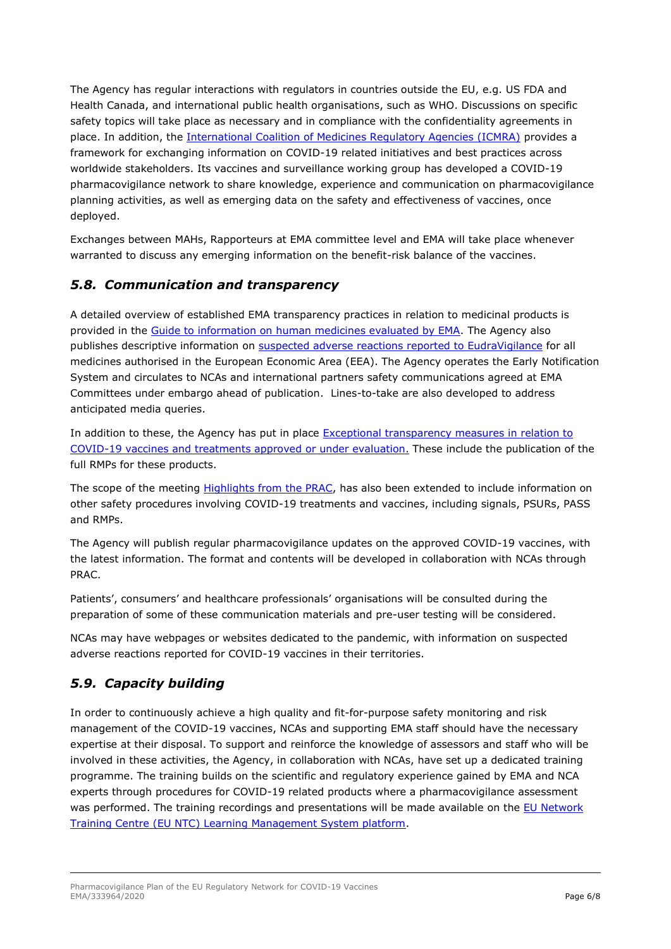The Agency has regular interactions with regulators in countries outside the EU, e.g. US FDA and Health Canada, and international public health organisations, such as WHO. Discussions on specific safety topics will take place as necessary and in compliance with the confidentiality agreements in place. In addition, the [International Coalition of Medicines Regulatory Agencies \(ICMRA\)](https://www.ema.europa.eu/en/partners-networks/international-activities/multilateral-organisations-initiatives/international-coalition-medicines-regulatory-authorities-icmra) provides a framework for exchanging information on COVID-19 related initiatives and best practices across worldwide stakeholders. Its vaccines and surveillance working group has developed a COVID-19 pharmacovigilance network to share knowledge, experience and communication on pharmacovigilance planning activities, as well as emerging data on the safety and effectiveness of vaccines, once deployed.

Exchanges between MAHs, Rapporteurs at EMA committee level and EMA will take place whenever warranted to discuss any emerging information on the benefit-risk balance of the vaccines.

#### *5.8. Communication and transparency*

A detailed overview of established EMA transparency practices in relation to medicinal products is provided in the [Guide to information on human medicines evaluated by EMA.](https://www.ema.europa.eu/en/documents/other/guide-information-human-medicines-evaluated-european-medicines-agency-what-agency-publishes-when_en.pdf) The Agency also publishes descriptive information on suspected adverse reactions [reported to EudraVigilance](http://www.adrreports.eu/en/index.html) for all medicines authorised in the European Economic Area (EEA). The Agency operates the Early Notification System and circulates to NCAs and international partners safety communications agreed at EMA Committees under embargo ahead of publication. Lines-to-take are also developed to address anticipated media queries.

In addition to these, the Agency has put in place Exceptional [transparency measures](https://www.ema.europa.eu/en/human-regulatory/overview/public-health-threats/coronavirus-disease-covid-19/treatments-vaccines-covid-19#exceptional-transparency-measures-section) in relation to COVID-19 vaccines and treatments approved or under evaluation. These include the publication of the full RMPs for these products.

The scope of the meeting [Highlights from the PRAC,](https://www.ema.europa.eu/en/committees/prac/prac-agendas-minutes-highlights) has also been extended to include information on other safety procedures involving COVID-19 treatments and vaccines, including signals, PSURs, PASS and RMPs.

The Agency will publish regular pharmacovigilance updates on the approved COVID-19 vaccines, with the latest information. The format and contents will be developed in collaboration with NCAs through PRAC.

Patients', consumers' and healthcare professionals' organisations will be consulted during the preparation of some of these communication materials and pre-user testing will be considered.

NCAs may have webpages or websites dedicated to the pandemic, with information on suspected adverse reactions reported for COVID-19 vaccines in their territories.

#### *5.9. Capacity building*

In order to continuously achieve a high quality and fit-for-purpose safety monitoring and risk management of the COVID-19 vaccines, NCAs and supporting EMA staff should have the necessary expertise at their disposal. To support and reinforce the knowledge of assessors and staff who will be involved in these activities, the Agency, in collaboration with NCAs, have set up a dedicated training programme. The training builds on the scientific and regulatory experience gained by EMA and NCA experts through procedures for COVID-19 related products where a pharmacovigilance assessment was performed. The training recordings and presentations will be made available on the EU Network [Training Centre \(EU NTC\) Learning Management System platform.](https://europeanm.plateau.com/learning/user/nativelogin.do)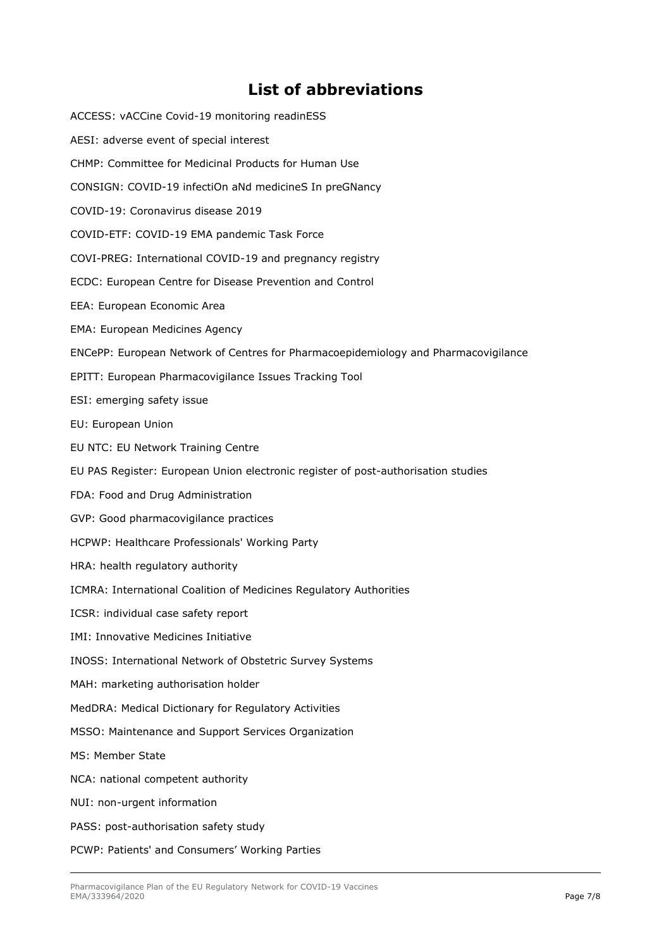### **List of abbreviations**

| JL VI UMMIN                                                                        |
|------------------------------------------------------------------------------------|
| ACCESS: vACCine Covid-19 monitoring readinESS                                      |
| AESI: adverse event of special interest                                            |
| CHMP: Committee for Medicinal Products for Human Use                               |
| CONSIGN: COVID-19 infectiOn aNd medicineS In preGNancy                             |
| COVID-19: Coronavirus disease 2019                                                 |
| COVID-ETF: COVID-19 EMA pandemic Task Force                                        |
| COVI-PREG: International COVID-19 and pregnancy registry                           |
| ECDC: European Centre for Disease Prevention and Control                           |
| EEA: European Economic Area                                                        |
| EMA: European Medicines Agency                                                     |
| ENCePP: European Network of Centres for Pharmacoepidemiology and Pharmacovigilance |
| EPITT: European Pharmacovigilance Issues Tracking Tool                             |
| ESI: emerging safety issue                                                         |
| EU: European Union                                                                 |
| EU NTC: EU Network Training Centre                                                 |
| EU PAS Register: European Union electronic register of post-authorisation studies  |
| FDA: Food and Drug Administration                                                  |
| GVP: Good pharmacovigilance practices                                              |
| HCPWP: Healthcare Professionals' Working Party                                     |
| HRA: health regulatory authority                                                   |
| ICMRA: International Coalition of Medicines Regulatory Authorities                 |
| ICSR: individual case safety report                                                |
| <b>IMI: Innovative Medicines Initiative</b>                                        |
| INOSS: International Network of Obstetric Survey Systems                           |
| MAH: marketing authorisation holder                                                |
| MedDRA: Medical Dictionary for Regulatory Activities                               |
| MSSO: Maintenance and Support Services Organization                                |
| <b>MS: Member State</b>                                                            |
| NCA: national competent authority                                                  |
| NUI: non-urgent information                                                        |
| PASS: post-authorisation safety study                                              |
|                                                                                    |

PCWP: Patients' and Consumers' Working Parties